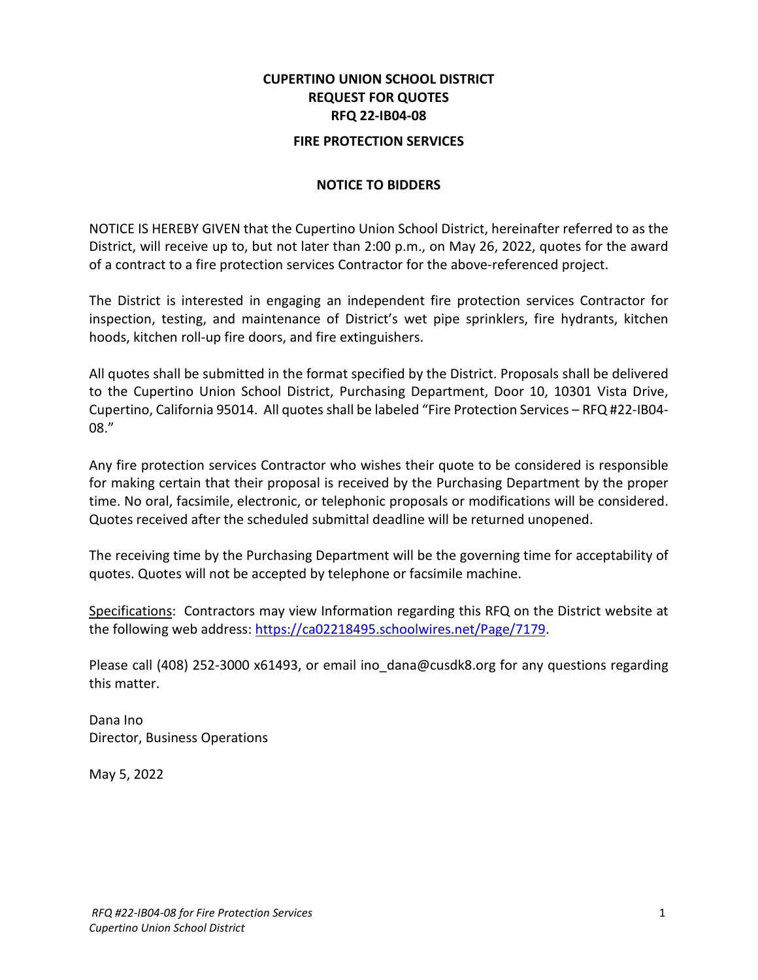# **CUPERTINO UNION SCHOOL DISTRICT REQUEST FOR QUOTES RFQ 22-IB04-08**

#### **FIRE PROTECTION SERVICES**

#### **NOTICE TO BIDDERS**

NOTICE IS HEREBY GIVEN that the Cupertino Union School District, hereinafter referred to as the District, will receive up to, but not later than 2:00 p.m., on May 26, 2022, quotes for the award of a contract to a fire protection services Contractor for the above-referenced project.

The District is interested in engaging an independent fire protection services Contractor for inspection, testing, and maintenance of District's wet pipe sprinklers, fire hydrants, kitchen hoods, kitchen roll-up fire doors, and fire extinguishers.

All quotes shall be submitted in the format specified by the District. Proposals shall be delivered to the Cupertino Union School District, Purchasing Department, Door 10, 10301 Vista Drive, Cupertino, California 95014. All quotes shall be labeled "Fire Protection Services – RFQ #22-IB04- 08."

Any fire protection services Contractor who wishes their quote to be considered is responsible for making certain that their proposal is received by the Purchasing Department by the proper time. No oral, facsimile, electronic, or telephonic proposals or modifications will be considered. Quotes received after the scheduled submittal deadline will be returned unopened.

The receiving time by the Purchasing Department will be the governing time for acceptability of quotes. Quotes will not be accepted by telephone or facsimile machine.

Specifications: Contractors may view Information regarding this RFQ on the District website at the following web address: [https://ca02218495.schoolwires.net/Page/7179.](https://ca02218495.schoolwires.net/Page/7179)

Please call (408) 252-3000 x61493, or email ino dana@cusdk8.org for any questions regarding this matter.

Dana Ino Director, Business Operations

May 5, 2022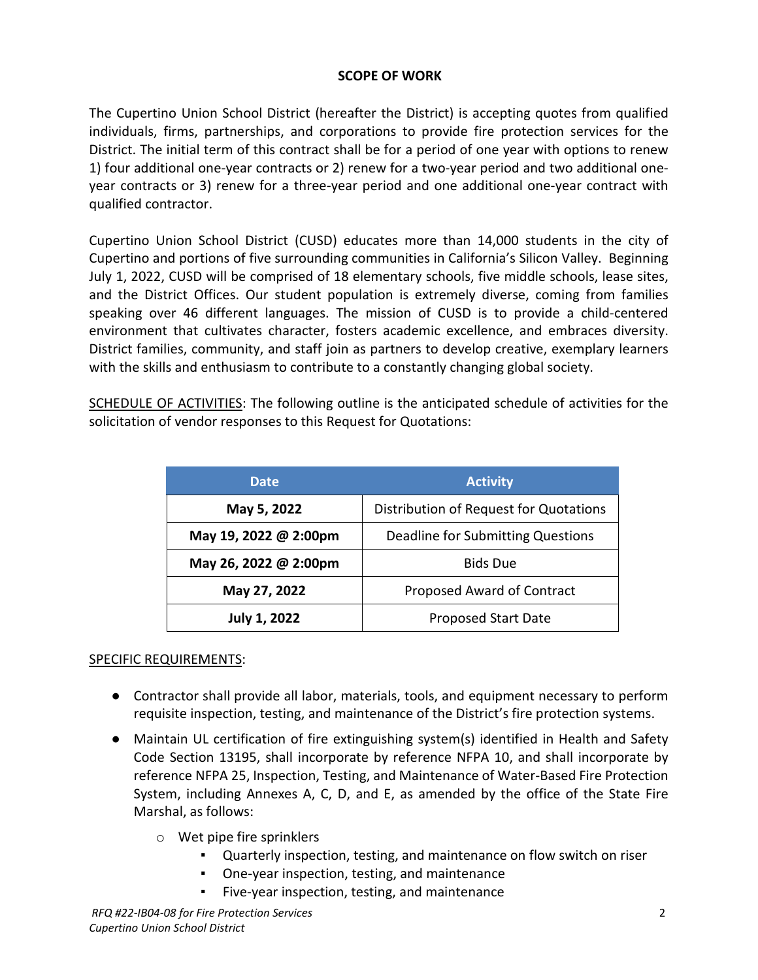#### **SCOPE OF WORK**

The Cupertino Union School District (hereafter the District) is accepting quotes from qualified individuals, firms, partnerships, and corporations to provide fire protection services for the District. The initial term of this contract shall be for a period of one year with options to renew 1) four additional one-year contracts or 2) renew for a two-year period and two additional oneyear contracts or 3) renew for a three-year period and one additional one-year contract with qualified contractor.

Cupertino Union School District (CUSD) educates more than 14,000 students in the city of Cupertino and portions of five surrounding communities in California's Silicon Valley. Beginning July 1, 2022, CUSD will be comprised of 18 elementary schools, five middle schools, lease sites, and the District Offices. Our student population is extremely diverse, coming from families speaking over 46 different languages. The mission of CUSD is to provide a child-centered environment that cultivates character, fosters academic excellence, and embraces diversity. District families, community, and staff join as partners to develop creative, exemplary learners with the skills and enthusiasm to contribute to a constantly changing global society.

SCHEDULE OF ACTIVITIES: The following outline is the anticipated schedule of activities for the solicitation of vendor responses to this Request for Quotations:

| <b>Date</b>           | <b>Activity</b>                        |  |  |  |
|-----------------------|----------------------------------------|--|--|--|
| May 5, 2022           | Distribution of Request for Quotations |  |  |  |
| May 19, 2022 @ 2:00pm | Deadline for Submitting Questions      |  |  |  |
| May 26, 2022 @ 2:00pm | <b>Bids Due</b>                        |  |  |  |
| May 27, 2022          | Proposed Award of Contract             |  |  |  |
| <b>July 1, 2022</b>   | Proposed Start Date                    |  |  |  |

# SPECIFIC REQUIREMENTS:

- Contractor shall provide all labor, materials, tools, and equipment necessary to perform requisite inspection, testing, and maintenance of the District's fire protection systems.
- Maintain UL certification of fire extinguishing system(s) identified in Health and Safety Code Section 13195, shall incorporate by reference NFPA 10, and shall incorporate by reference NFPA 25, Inspection, Testing, and Maintenance of Water-Based Fire Protection System, including Annexes A, C, D, and E, as amended by the office of the State Fire Marshal, as follows:
	- o Wet pipe fire sprinklers
		- Quarterly inspection, testing, and maintenance on flow switch on riser
		- One-year inspection, testing, and maintenance
		- Five-year inspection, testing, and maintenance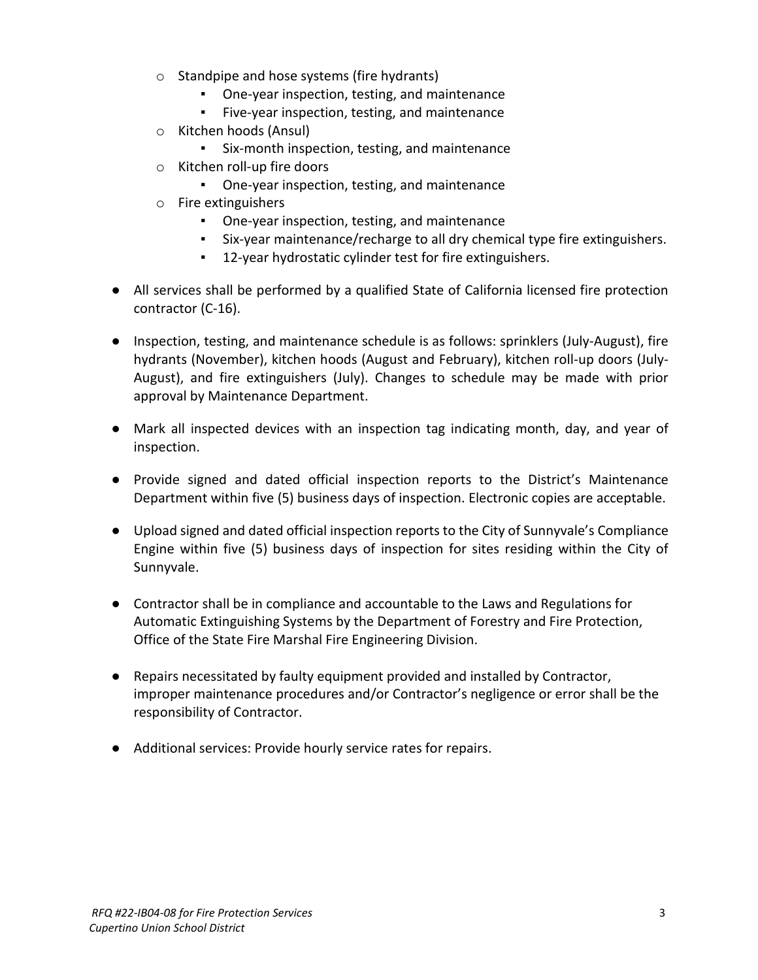- o Standpipe and hose systems (fire hydrants)
	- One-year inspection, testing, and maintenance
	- Five-year inspection, testing, and maintenance
- o Kitchen hoods (Ansul)
	- Six-month inspection, testing, and maintenance
- o Kitchen roll-up fire doors
	- One-year inspection, testing, and maintenance
- o Fire extinguishers
	- One-year inspection, testing, and maintenance
	- Six-year maintenance/recharge to all dry chemical type fire extinguishers.
	- 12-year hydrostatic cylinder test for fire extinguishers.
- All services shall be performed by a qualified State of California licensed fire protection contractor (C-16).
- Inspection, testing, and maintenance schedule is as follows: sprinklers (July-August), fire hydrants (November), kitchen hoods (August and February), kitchen roll-up doors (July-August), and fire extinguishers (July). Changes to schedule may be made with prior approval by Maintenance Department.
- Mark all inspected devices with an inspection tag indicating month, day, and year of inspection.
- Provide signed and dated official inspection reports to the District's Maintenance Department within five (5) business days of inspection. Electronic copies are acceptable.
- Upload signed and dated official inspection reports to the City of Sunnyvale's Compliance Engine within five (5) business days of inspection for sites residing within the City of Sunnyvale.
- Contractor shall be in compliance and accountable to the Laws and Regulations for Automatic Extinguishing Systems by the Department of Forestry and Fire Protection, Office of the State Fire Marshal Fire Engineering Division.
- Repairs necessitated by faulty equipment provided and installed by Contractor, improper maintenance procedures and/or Contractor's negligence or error shall be the responsibility of Contractor.
- Additional services: Provide hourly service rates for repairs.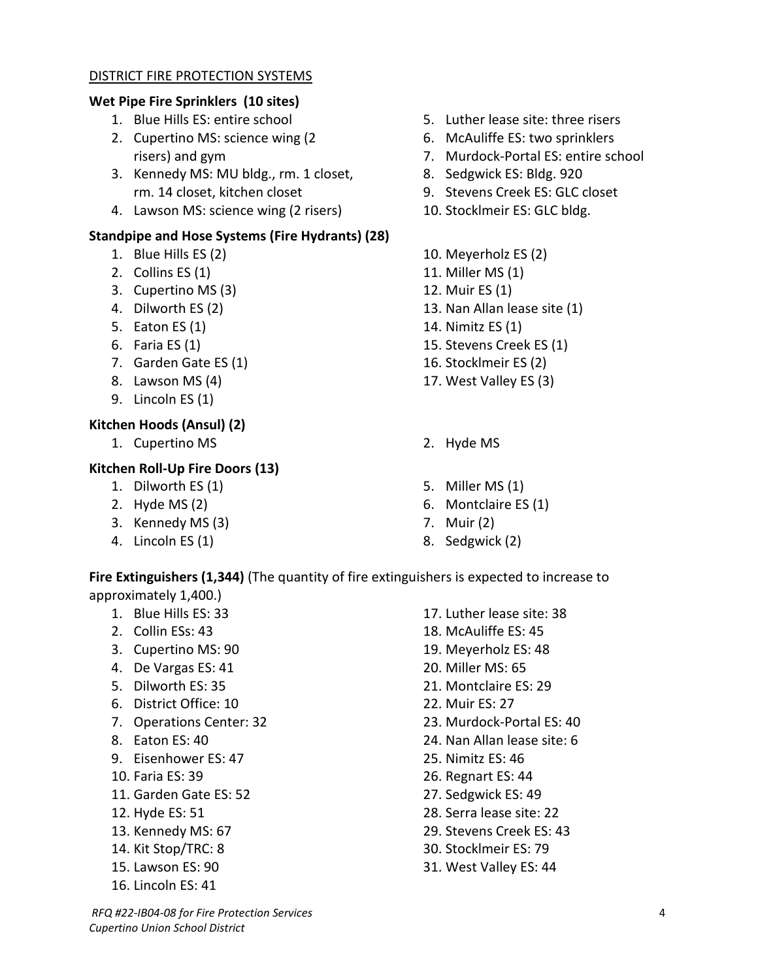#### DISTRICT FIRE PROTECTION SYSTEMS

# **Wet Pipe Fire Sprinklers (10 sites)**

- 1. Blue Hills ES: entire school
- 2. Cupertino MS: science wing (2 risers) and gym
- 3. Kennedy MS: MU bldg., rm. 1 closet, rm. 14 closet, kitchen closet
- 4. Lawson MS: science wing (2 risers)

# **Standpipe and Hose Systems (Fire Hydrants) (28)**

- 1. Blue Hills ES (2)
- 2. Collins ES (1)
- 3. Cupertino MS (3)
- 4. Dilworth ES (2)
- 5. Eaton ES (1)
- 6. Faria ES (1)
- 7. Garden Gate ES (1)
- 8. Lawson MS (4)
- 9. Lincoln ES (1)

# **Kitchen Hoods (Ansul) (2)**

1. Cupertino MS 2. Hyde MS

# **Kitchen Roll-Up Fire Doors (13)**

- 1. Dilworth ES (1)
- 2. Hyde MS (2)
- 3. Kennedy MS (3)
- 4. Lincoln ES (1)
- 5. Luther lease site: three risers
- 6. McAuliffe ES: two sprinklers
- 7. Murdock-Portal ES: entire school
- 8. Sedgwick ES: Bldg. 920
- 9. Stevens Creek ES: GLC closet
- 10. Stocklmeir ES: GLC bldg.
- 10. Meyerholz ES (2)
- 11. Miller MS (1)
- 12. Muir ES (1)
- 13. Nan Allan lease site (1)
- 14. Nimitz ES (1)
- 15. Stevens Creek ES (1)
- 16. Stocklmeir ES (2)
- 17. West Valley ES (3)
- 
- 5. Miller MS (1)
- 6. Montclaire ES (1)
- 7. Muir (2)
- 8. Sedgwick (2)

#### **Fire Extinguishers (1,344)** (The quantity of fire extinguishers is expected to increase to approximately 1,400.)

- 1. Blue Hills ES: 33
- 2. Collin ESs: 43
- 3. Cupertino MS: 90
- 4. De Vargas ES: 41
- 5. Dilworth ES: 35
- 6. District Office: 10
- 7. Operations Center: 32
- 8. Eaton ES: 40
- 9. Eisenhower ES: 47
- 10. Faria ES: 39
- 11. Garden Gate ES: 52
- 12. Hyde ES: 51
- 13. Kennedy MS: 67
- 14. Kit Stop/TRC: 8
- 15. Lawson ES: 90
- 16. Lincoln ES: 41
- 17. Luther lease site: 38
- 18. McAuliffe ES: 45
- 19. Meyerholz ES: 48
- 20. Miller MS: 65
- 21. Montclaire ES: 29
- 22. Muir ES: 27
- 23. Murdock-Portal ES: 40
- 24. Nan Allan lease site: 6
- 25. Nimitz ES: 46
- 26. Regnart ES: 44
- 27. Sedgwick ES: 49
- 28. Serra lease site: 22
- 29. Stevens Creek ES: 43
- 30. Stocklmeir ES: 79
- 31. West Valley ES: 44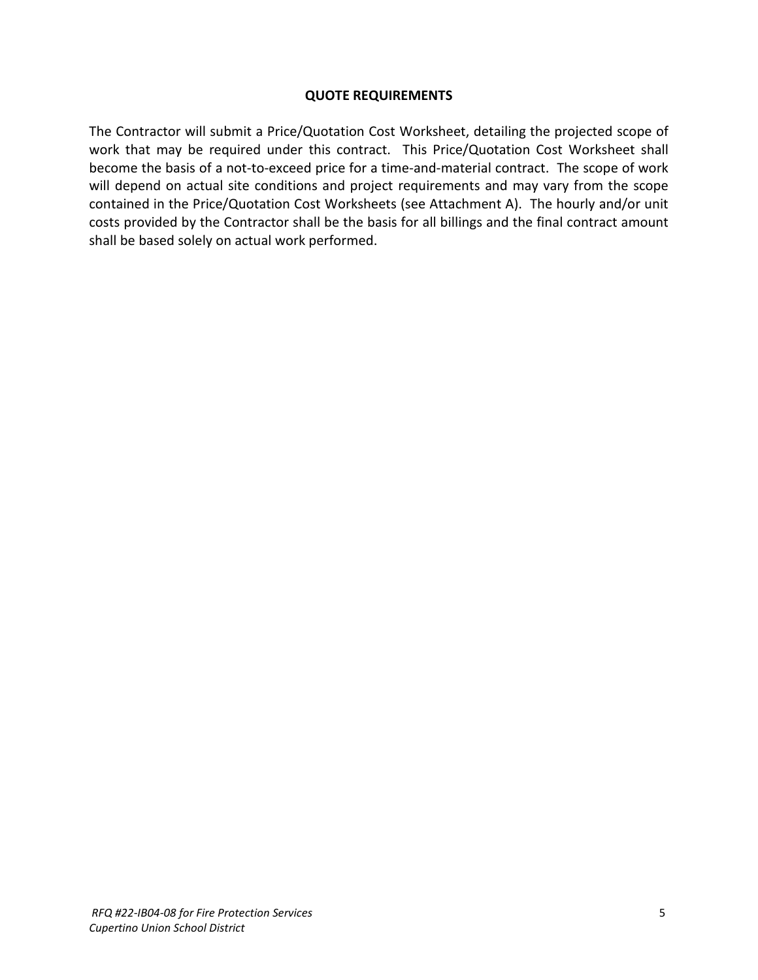#### **QUOTE REQUIREMENTS**

The Contractor will submit a Price/Quotation Cost Worksheet, detailing the projected scope of work that may be required under this contract. This Price/Quotation Cost Worksheet shall become the basis of a not-to-exceed price for a time-and-material contract. The scope of work will depend on actual site conditions and project requirements and may vary from the scope contained in the Price/Quotation Cost Worksheets (see Attachment A). The hourly and/or unit costs provided by the Contractor shall be the basis for all billings and the final contract amount shall be based solely on actual work performed.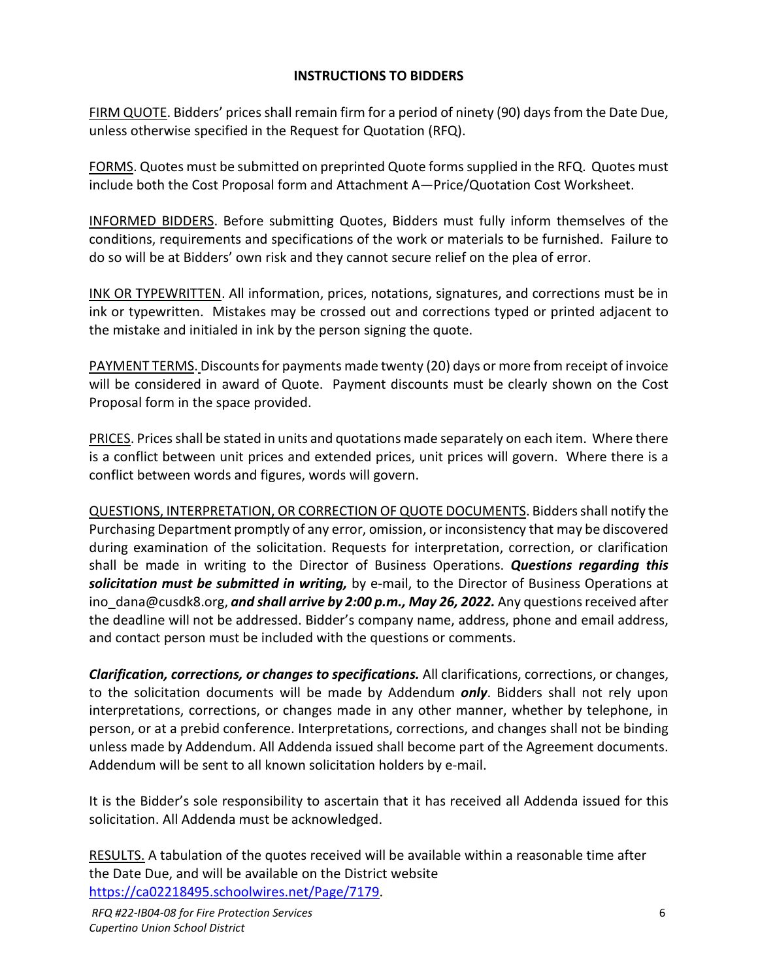# **INSTRUCTIONS TO BIDDERS**

FIRM QUOTE. Bidders' prices shall remain firm for a period of ninety (90) days from the Date Due, unless otherwise specified in the Request for Quotation (RFQ).

FORMS. Quotes must be submitted on preprinted Quote forms supplied in the RFQ. Quotes must include both the Cost Proposal form and Attachment A—Price/Quotation Cost Worksheet.

INFORMED BIDDERS. Before submitting Quotes, Bidders must fully inform themselves of the conditions, requirements and specifications of the work or materials to be furnished. Failure to do so will be at Bidders' own risk and they cannot secure relief on the plea of error.

INK OR TYPEWRITTEN. All information, prices, notations, signatures, and corrections must be in ink or typewritten. Mistakes may be crossed out and corrections typed or printed adjacent to the mistake and initialed in ink by the person signing the quote.

PAYMENT TERMS. Discounts for payments made twenty (20) days or more from receipt of invoice will be considered in award of Quote. Payment discounts must be clearly shown on the Cost Proposal form in the space provided.

PRICES. Prices shall be stated in units and quotations made separately on each item. Where there is a conflict between unit prices and extended prices, unit prices will govern. Where there is a conflict between words and figures, words will govern.

QUESTIONS, INTERPRETATION, OR CORRECTION OF QUOTE DOCUMENTS. Bidders shall notify the Purchasing Department promptly of any error, omission, or inconsistency that may be discovered during examination of the solicitation. Requests for interpretation, correction, or clarification shall be made in writing to the Director of Business Operations. *Questions regarding this solicitation must be submitted in writing,* by e-mail, to the Director of Business Operations at ino\_dana@cusdk8.org, *and shall arrive by 2:00 p.m., May 26, 2022.* Any questions received after the deadline will not be addressed. Bidder's company name, address, phone and email address, and contact person must be included with the questions or comments.

*Clarification, corrections, or changes to specifications.* All clarifications, corrections, or changes, to the solicitation documents will be made by Addendum *only*. Bidders shall not rely upon interpretations, corrections, or changes made in any other manner, whether by telephone, in person, or at a prebid conference. Interpretations, corrections, and changes shall not be binding unless made by Addendum. All Addenda issued shall become part of the Agreement documents. Addendum will be sent to all known solicitation holders by e-mail.

It is the Bidder's sole responsibility to ascertain that it has received all Addenda issued for this solicitation. All Addenda must be acknowledged.

RESULTS. A tabulation of the quotes received will be available within a reasonable time after the Date Due, and will be available on the District website [https://ca02218495.schoolwires.net/Page/7179.](https://ca02218495.schoolwires.net/Page/7179)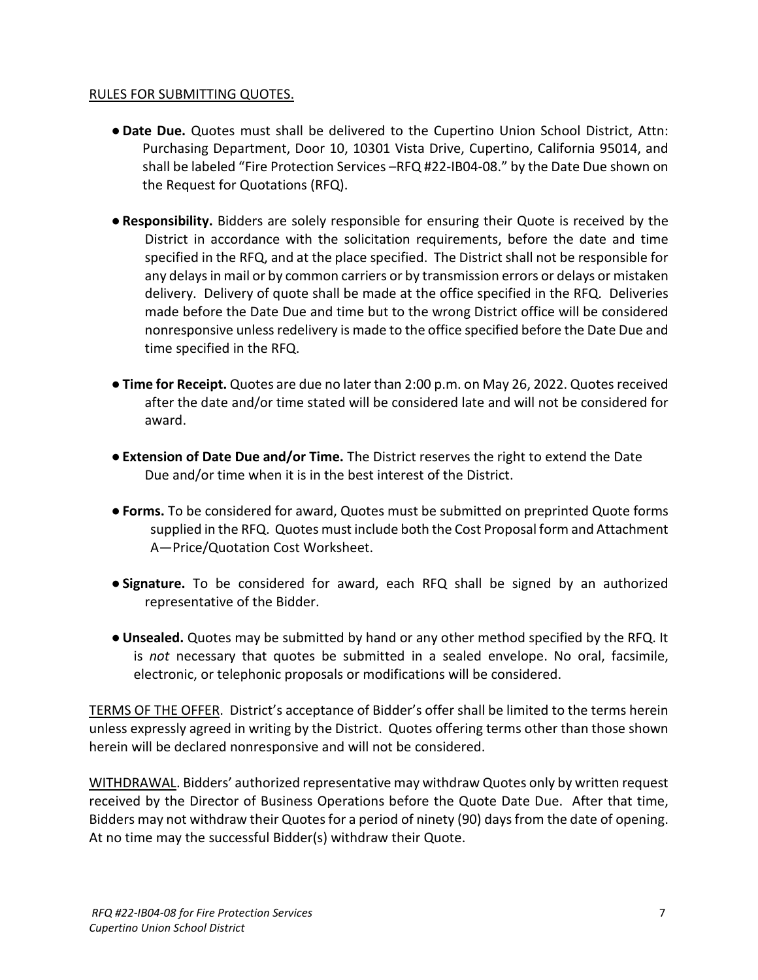#### RULES FOR SUBMITTING QUOTES.

- ●**Date Due.** Quotes must shall be delivered to the Cupertino Union School District, Attn: Purchasing Department, Door 10, 10301 Vista Drive, Cupertino, California 95014, and shall be labeled "Fire Protection Services –RFQ #22-IB04-08." by the Date Due shown on the Request for Quotations (RFQ).
- ●**Responsibility.** Bidders are solely responsible for ensuring their Quote is received by the District in accordance with the solicitation requirements, before the date and time specified in the RFQ, and at the place specified. The District shall not be responsible for any delays in mail or by common carriers or by transmission errors or delays or mistaken delivery. Delivery of quote shall be made at the office specified in the RFQ. Deliveries made before the Date Due and time but to the wrong District office will be considered nonresponsive unless redelivery is made to the office specified before the Date Due and time specified in the RFQ.
- ●**Time for Receipt.** Quotes are due no later than 2:00 p.m. on May 26, 2022. Quotes received after the date and/or time stated will be considered late and will not be considered for award.
- ●**Extension of Date Due and/or Time.** The District reserves the right to extend the Date Due and/or time when it is in the best interest of the District.
- ●**Forms.** To be considered for award, Quotes must be submitted on preprinted Quote forms supplied in the RFQ. Quotes must include both the Cost Proposal form and Attachment A—Price/Quotation Cost Worksheet.
- ●**Signature.** To be considered for award, each RFQ shall be signed by an authorized representative of the Bidder.
- ●**Unsealed.** Quotes may be submitted by hand or any other method specified by the RFQ. It is *not* necessary that quotes be submitted in a sealed envelope. No oral, facsimile, electronic, or telephonic proposals or modifications will be considered.

TERMS OF THE OFFER. District's acceptance of Bidder's offer shall be limited to the terms herein unless expressly agreed in writing by the District. Quotes offering terms other than those shown herein will be declared nonresponsive and will not be considered.

WITHDRAWAL. Bidders' authorized representative may withdraw Quotes only by written request received by the Director of Business Operations before the Quote Date Due. After that time, Bidders may not withdraw their Quotes for a period of ninety (90) days from the date of opening. At no time may the successful Bidder(s) withdraw their Quote.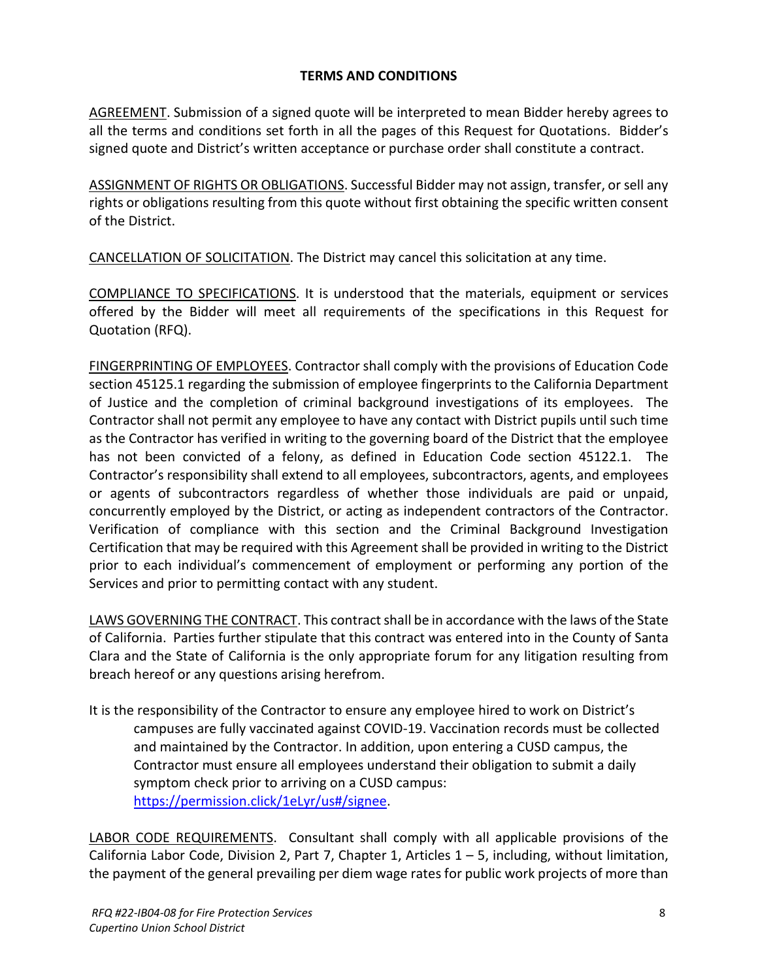## **TERMS AND CONDITIONS**

AGREEMENT. Submission of a signed quote will be interpreted to mean Bidder hereby agrees to all the terms and conditions set forth in all the pages of this Request for Quotations. Bidder's signed quote and District's written acceptance or purchase order shall constitute a contract.

ASSIGNMENT OF RIGHTS OR OBLIGATIONS. Successful Bidder may not assign, transfer, or sell any rights or obligations resulting from this quote without first obtaining the specific written consent of the District.

CANCELLATION OF SOLICITATION. The District may cancel this solicitation at any time.

COMPLIANCE TO SPECIFICATIONS. It is understood that the materials, equipment or services offered by the Bidder will meet all requirements of the specifications in this Request for Quotation (RFQ).

FINGERPRINTING OF EMPLOYEES. Contractor shall comply with the provisions of Education Code section 45125.1 regarding the submission of employee fingerprints to the California Department of Justice and the completion of criminal background investigations of its employees. The Contractor shall not permit any employee to have any contact with District pupils until such time as the Contractor has verified in writing to the governing board of the District that the employee has not been convicted of a felony, as defined in Education Code section 45122.1. The Contractor's responsibility shall extend to all employees, subcontractors, agents, and employees or agents of subcontractors regardless of whether those individuals are paid or unpaid, concurrently employed by the District, or acting as independent contractors of the Contractor. Verification of compliance with this section and the Criminal Background Investigation Certification that may be required with this Agreement shall be provided in writing to the District prior to each individual's commencement of employment or performing any portion of the Services and prior to permitting contact with any student.

LAWS GOVERNING THE CONTRACT. This contract shall be in accordance with the laws of the State of California. Parties further stipulate that this contract was entered into in the County of Santa Clara and the State of California is the only appropriate forum for any litigation resulting from breach hereof or any questions arising herefrom.

It is the responsibility of the Contractor to ensure any employee hired to work on District's campuses are fully vaccinated against COVID-19. Vaccination records must be collected and maintained by the Contractor. In addition, upon entering a CUSD campus, the Contractor must ensure all employees understand their obligation to submit a daily symptom check prior to arriving on a CUSD campus: [https://permission.click/1eLyr/us#/signee.](https://permission.click/1eLyr/us%23/signee)

LABOR CODE REQUIREMENTS. Consultant shall comply with all applicable provisions of the California Labor Code, Division 2, Part 7, Chapter 1, Articles  $1 - 5$ , including, without limitation, the payment of the general prevailing per diem wage rates for public work projects of more than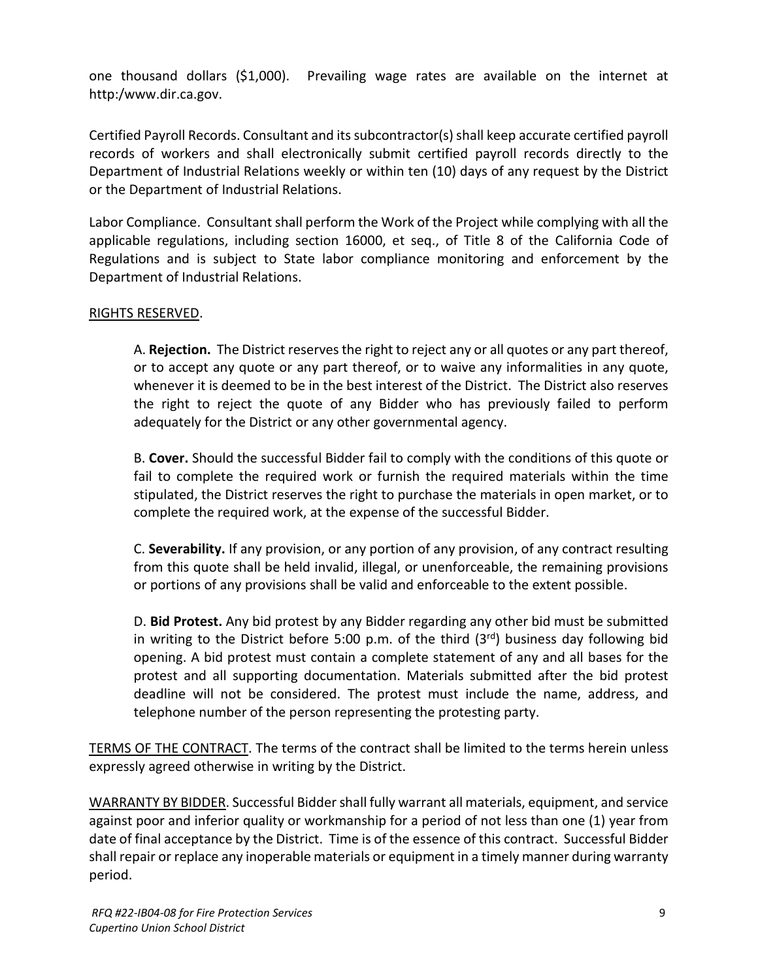one thousand dollars (\$1,000). Prevailing wage rates are available on the internet at http:/www.dir.ca.gov.

Certified Payroll Records. Consultant and its subcontractor(s) shall keep accurate certified payroll records of workers and shall electronically submit certified payroll records directly to the Department of Industrial Relations weekly or within ten (10) days of any request by the District or the Department of Industrial Relations.

Labor Compliance. Consultant shall perform the Work of the Project while complying with all the applicable regulations, including section 16000, et seq., of Title 8 of the California Code of Regulations and is subject to State labor compliance monitoring and enforcement by the Department of Industrial Relations.

#### RIGHTS RESERVED.

A. **Rejection.** The District reserves the right to reject any or all quotes or any part thereof, or to accept any quote or any part thereof, or to waive any informalities in any quote, whenever it is deemed to be in the best interest of the District. The District also reserves the right to reject the quote of any Bidder who has previously failed to perform adequately for the District or any other governmental agency.

B. **Cover.** Should the successful Bidder fail to comply with the conditions of this quote or fail to complete the required work or furnish the required materials within the time stipulated, the District reserves the right to purchase the materials in open market, or to complete the required work, at the expense of the successful Bidder.

C. **Severability.** If any provision, or any portion of any provision, of any contract resulting from this quote shall be held invalid, illegal, or unenforceable, the remaining provisions or portions of any provisions shall be valid and enforceable to the extent possible.

D. **Bid Protest.** Any bid protest by any Bidder regarding any other bid must be submitted in writing to the District before 5:00 p.m. of the third  $(3^{rd})$  business day following bid opening. A bid protest must contain a complete statement of any and all bases for the protest and all supporting documentation. Materials submitted after the bid protest deadline will not be considered. The protest must include the name, address, and telephone number of the person representing the protesting party.

TERMS OF THE CONTRACT. The terms of the contract shall be limited to the terms herein unless expressly agreed otherwise in writing by the District.

WARRANTY BY BIDDER. Successful Bidder shall fully warrant all materials, equipment, and service against poor and inferior quality or workmanship for a period of not less than one (1) year from date of final acceptance by the District. Time is of the essence of this contract. Successful Bidder shall repair or replace any inoperable materials or equipment in a timely manner during warranty period.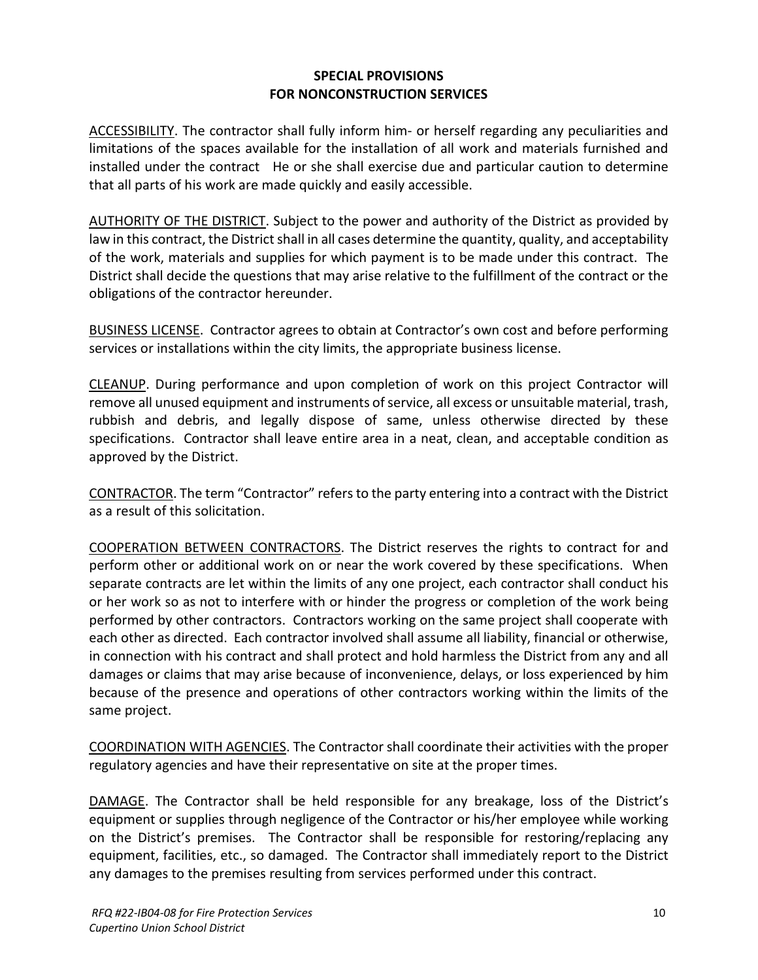#### **SPECIAL PROVISIONS FOR NONCONSTRUCTION SERVICES**

ACCESSIBILITY. The contractor shall fully inform him- or herself regarding any peculiarities and limitations of the spaces available for the installation of all work and materials furnished and installed under the contract He or she shall exercise due and particular caution to determine that all parts of his work are made quickly and easily accessible.

AUTHORITY OF THE DISTRICT. Subject to the power and authority of the District as provided by law in this contract, the District shall in all cases determine the quantity, quality, and acceptability of the work, materials and supplies for which payment is to be made under this contract. The District shall decide the questions that may arise relative to the fulfillment of the contract or the obligations of the contractor hereunder.

BUSINESS LICENSE. Contractor agrees to obtain at Contractor's own cost and before performing services or installations within the city limits, the appropriate business license.

CLEANUP. During performance and upon completion of work on this project Contractor will remove all unused equipment and instruments of service, all excess or unsuitable material, trash, rubbish and debris, and legally dispose of same, unless otherwise directed by these specifications. Contractor shall leave entire area in a neat, clean, and acceptable condition as approved by the District.

CONTRACTOR. The term "Contractor" refers to the party entering into a contract with the District as a result of this solicitation.

COOPERATION BETWEEN CONTRACTORS. The District reserves the rights to contract for and perform other or additional work on or near the work covered by these specifications. When separate contracts are let within the limits of any one project, each contractor shall conduct his or her work so as not to interfere with or hinder the progress or completion of the work being performed by other contractors. Contractors working on the same project shall cooperate with each other as directed. Each contractor involved shall assume all liability, financial or otherwise, in connection with his contract and shall protect and hold harmless the District from any and all damages or claims that may arise because of inconvenience, delays, or loss experienced by him because of the presence and operations of other contractors working within the limits of the same project.

COORDINATION WITH AGENCIES. The Contractor shall coordinate their activities with the proper regulatory agencies and have their representative on site at the proper times.

DAMAGE. The Contractor shall be held responsible for any breakage, loss of the District's equipment or supplies through negligence of the Contractor or his/her employee while working on the District's premises. The Contractor shall be responsible for restoring/replacing any equipment, facilities, etc., so damaged. The Contractor shall immediately report to the District any damages to the premises resulting from services performed under this contract.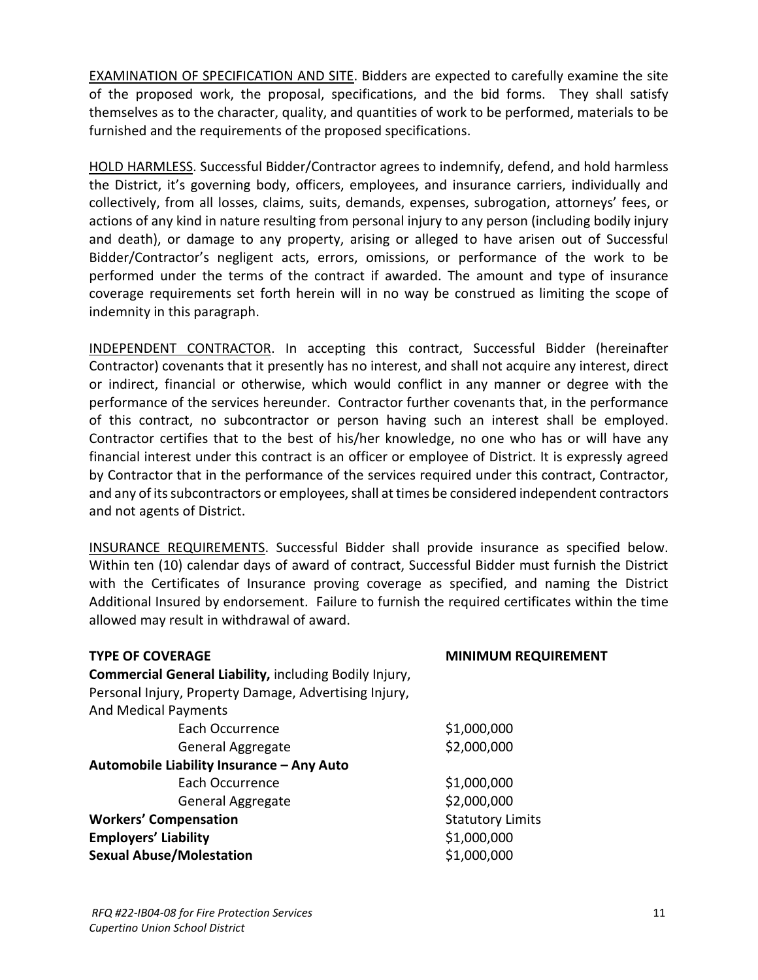EXAMINATION OF SPECIFICATION AND SITE. Bidders are expected to carefully examine the site of the proposed work, the proposal, specifications, and the bid forms. They shall satisfy themselves as to the character, quality, and quantities of work to be performed, materials to be furnished and the requirements of the proposed specifications.

HOLD HARMLESS. Successful Bidder/Contractor agrees to indemnify, defend, and hold harmless the District, it's governing body, officers, employees, and insurance carriers, individually and collectively, from all losses, claims, suits, demands, expenses, subrogation, attorneys' fees, or actions of any kind in nature resulting from personal injury to any person (including bodily injury and death), or damage to any property, arising or alleged to have arisen out of Successful Bidder/Contractor's negligent acts, errors, omissions, or performance of the work to be performed under the terms of the contract if awarded. The amount and type of insurance coverage requirements set forth herein will in no way be construed as limiting the scope of indemnity in this paragraph.

INDEPENDENT CONTRACTOR. In accepting this contract, Successful Bidder (hereinafter Contractor) covenants that it presently has no interest, and shall not acquire any interest, direct or indirect, financial or otherwise, which would conflict in any manner or degree with the performance of the services hereunder. Contractor further covenants that, in the performance of this contract, no subcontractor or person having such an interest shall be employed. Contractor certifies that to the best of his/her knowledge, no one who has or will have any financial interest under this contract is an officer or employee of District. It is expressly agreed by Contractor that in the performance of the services required under this contract, Contractor, and any of its subcontractors or employees, shall at times be considered independent contractors and not agents of District.

INSURANCE REQUIREMENTS. Successful Bidder shall provide insurance as specified below. Within ten (10) calendar days of award of contract, Successful Bidder must furnish the District with the Certificates of Insurance proving coverage as specified, and naming the District Additional Insured by endorsement. Failure to furnish the required certificates within the time allowed may result in withdrawal of award.

| <b>MINIMUM REQUIREMENT</b> |  |  |
|----------------------------|--|--|
|                            |  |  |
|                            |  |  |
|                            |  |  |
| \$1,000,000                |  |  |
| \$2,000,000                |  |  |
|                            |  |  |
| \$1,000,000                |  |  |
| \$2,000,000                |  |  |
| <b>Statutory Limits</b>    |  |  |
| \$1,000,000                |  |  |
| \$1,000,000                |  |  |
|                            |  |  |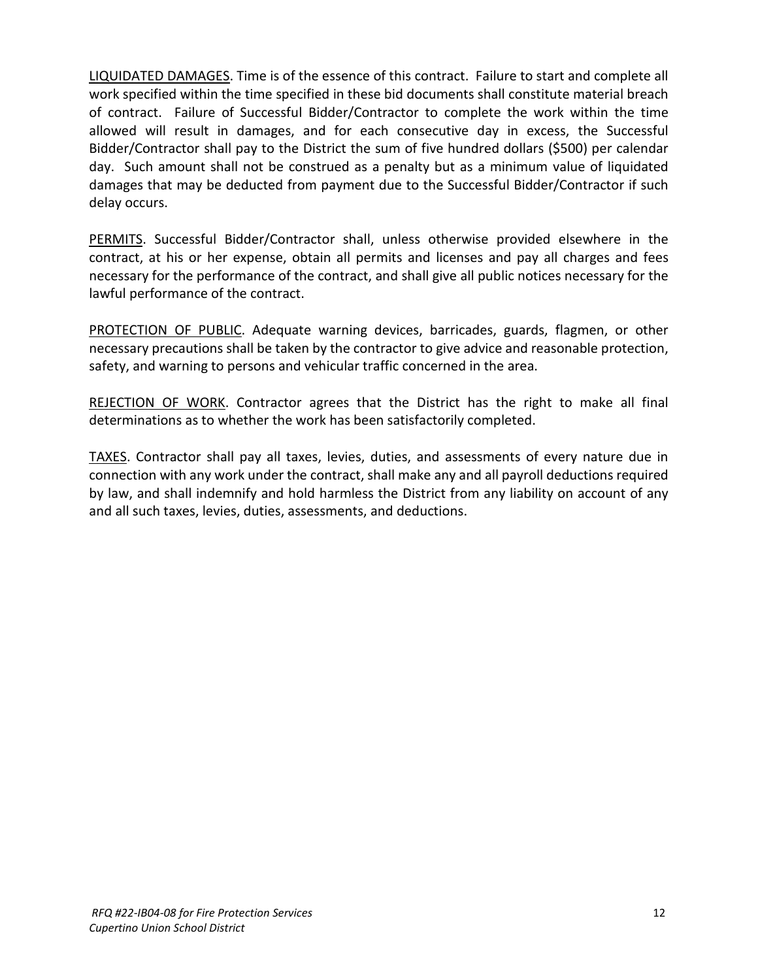LIQUIDATED DAMAGES. Time is of the essence of this contract. Failure to start and complete all work specified within the time specified in these bid documents shall constitute material breach of contract. Failure of Successful Bidder/Contractor to complete the work within the time allowed will result in damages, and for each consecutive day in excess, the Successful Bidder/Contractor shall pay to the District the sum of five hundred dollars (\$500) per calendar day. Such amount shall not be construed as a penalty but as a minimum value of liquidated damages that may be deducted from payment due to the Successful Bidder/Contractor if such delay occurs.

PERMITS. Successful Bidder/Contractor shall, unless otherwise provided elsewhere in the contract, at his or her expense, obtain all permits and licenses and pay all charges and fees necessary for the performance of the contract, and shall give all public notices necessary for the lawful performance of the contract.

PROTECTION OF PUBLIC. Adequate warning devices, barricades, guards, flagmen, or other necessary precautions shall be taken by the contractor to give advice and reasonable protection, safety, and warning to persons and vehicular traffic concerned in the area.

REJECTION OF WORK. Contractor agrees that the District has the right to make all final determinations as to whether the work has been satisfactorily completed.

TAXES. Contractor shall pay all taxes, levies, duties, and assessments of every nature due in connection with any work under the contract, shall make any and all payroll deductions required by law, and shall indemnify and hold harmless the District from any liability on account of any and all such taxes, levies, duties, assessments, and deductions.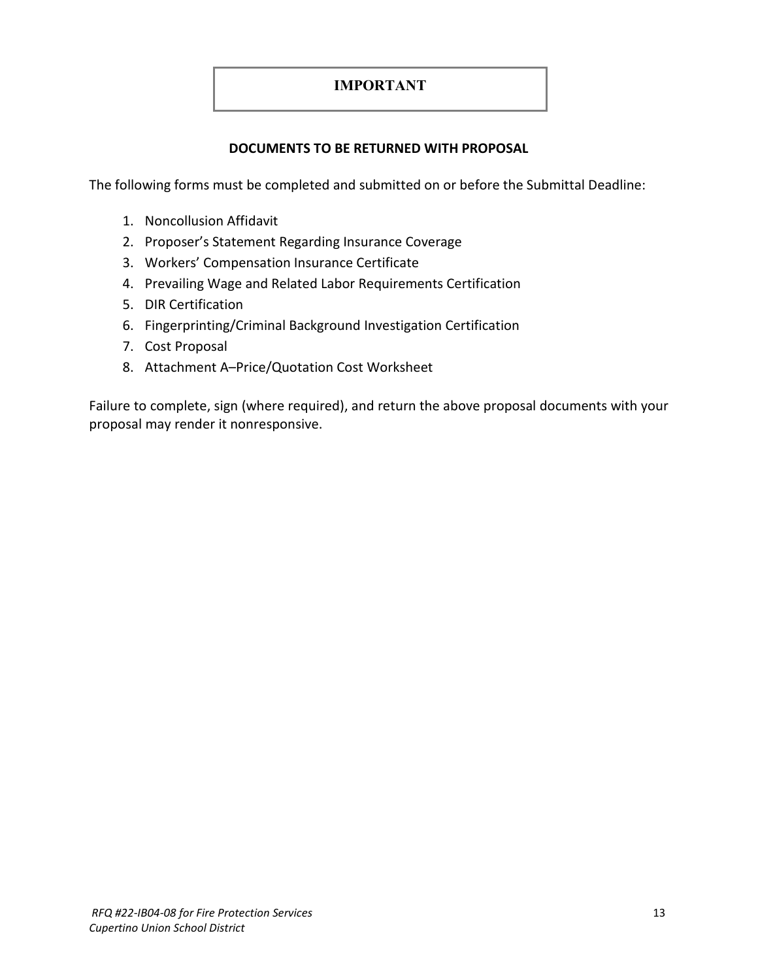# **IMPORTANT**

## **DOCUMENTS TO BE RETURNED WITH PROPOSAL**

The following forms must be completed and submitted on or before the Submittal Deadline:

- 1. Noncollusion Affidavit
- 2. Proposer's Statement Regarding Insurance Coverage
- 3. Workers' Compensation Insurance Certificate
- 4. Prevailing Wage and Related Labor Requirements Certification
- 5. DIR Certification
- 6. Fingerprinting/Criminal Background Investigation Certification
- 7. Cost Proposal
- 8. Attachment A–Price/Quotation Cost Worksheet

Failure to complete, sign (where required), and return the above proposal documents with your proposal may render it nonresponsive.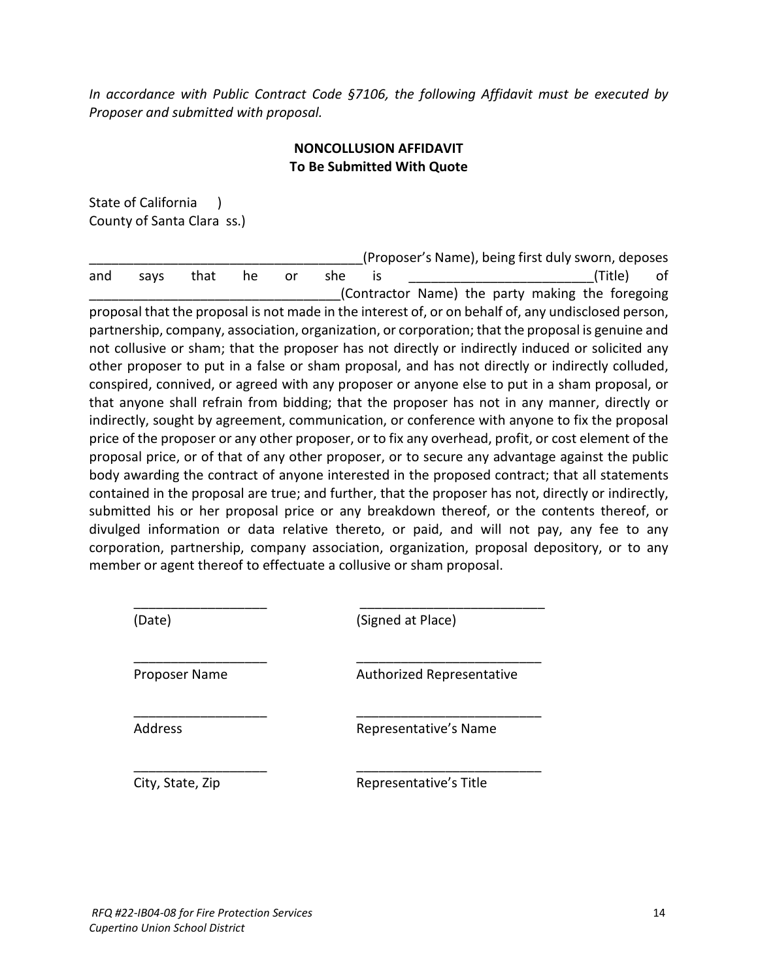*In accordance with Public Contract Code §7106, the following Affidavit must be executed by Proposer and submitted with proposal.*

# **NONCOLLUSION AFFIDAVIT To Be Submitted With Quote**

State of California ) County of Santa Clara ss.)

\_\_\_\_\_\_\_\_\_\_\_\_\_\_\_\_\_\_\_\_\_\_\_\_\_\_\_\_\_\_\_\_\_\_\_\_\_(Proposer's Name), being first duly sworn, deposes and says that he or she is \_\_\_\_\_\_\_\_\_\_\_\_\_\_\_\_\_\_\_\_\_\_\_\_\_(Title) of \_\_\_\_\_\_\_\_\_\_\_\_\_\_\_\_\_\_\_\_\_\_\_\_\_\_\_\_\_\_\_\_\_\_(Contractor Name) the party making the foregoing proposal that the proposal is not made in the interest of, or on behalf of, any undisclosed person, partnership, company, association, organization, or corporation; that the proposal is genuine and not collusive or sham; that the proposer has not directly or indirectly induced or solicited any other proposer to put in a false or sham proposal, and has not directly or indirectly colluded, conspired, connived, or agreed with any proposer or anyone else to put in a sham proposal, or that anyone shall refrain from bidding; that the proposer has not in any manner, directly or indirectly, sought by agreement, communication, or conference with anyone to fix the proposal price of the proposer or any other proposer, or to fix any overhead, profit, or cost element of the proposal price, or of that of any other proposer, or to secure any advantage against the public body awarding the contract of anyone interested in the proposed contract; that all statements contained in the proposal are true; and further, that the proposer has not, directly or indirectly, submitted his or her proposal price or any breakdown thereof, or the contents thereof, or divulged information or data relative thereto, or paid, and will not pay, any fee to any corporation, partnership, company association, organization, proposal depository, or to any member or agent thereof to effectuate a collusive or sham proposal.

\_\_\_\_\_\_\_\_\_\_\_\_\_\_\_\_\_\_ \_\_\_\_\_\_\_\_\_\_\_\_\_\_\_\_\_\_\_\_\_\_\_\_\_ (Date) (Signed at Place)

\_\_\_\_\_\_\_\_\_\_\_\_\_\_\_\_\_\_ \_\_\_\_\_\_\_\_\_\_\_\_\_\_\_\_\_\_\_\_\_\_\_\_\_

\_\_\_\_\_\_\_\_\_\_\_\_\_\_\_\_\_\_ \_\_\_\_\_\_\_\_\_\_\_\_\_\_\_\_\_\_\_\_\_\_\_\_\_

\_\_\_\_\_\_\_\_\_\_\_\_\_\_\_\_\_\_ \_\_\_\_\_\_\_\_\_\_\_\_\_\_\_\_\_\_\_\_\_\_\_\_\_ Proposer Name **Authorized Representative** 

Address Representative's Name

City, State, Zip **Representative's Title**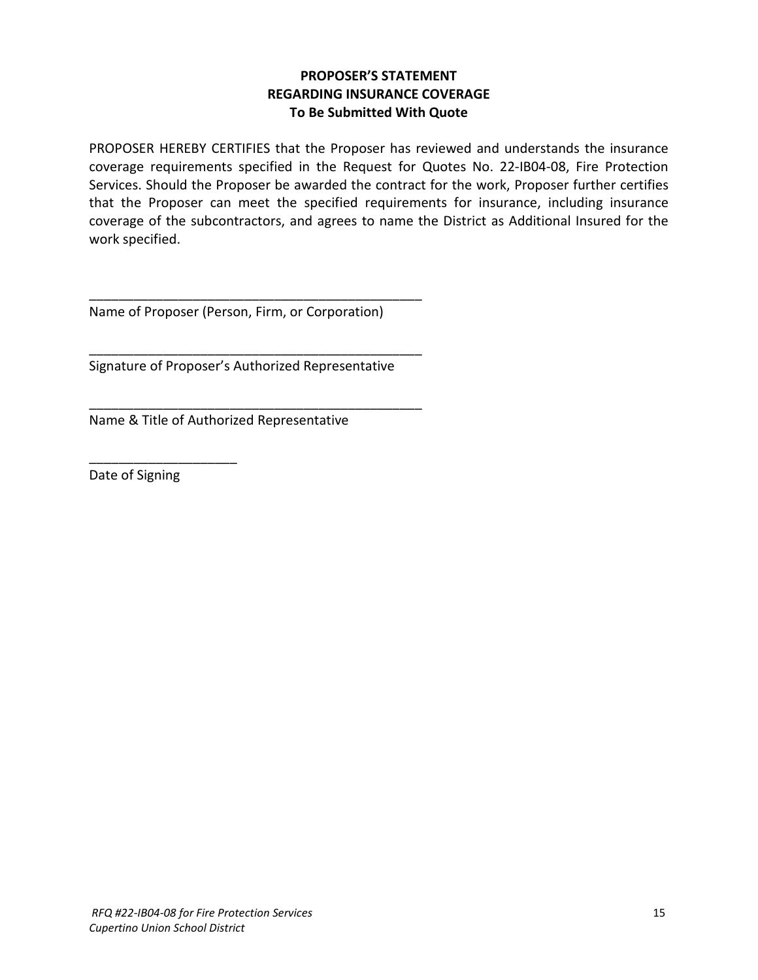# **PROPOSER'S STATEMENT REGARDING INSURANCE COVERAGE To Be Submitted With Quote**

PROPOSER HEREBY CERTIFIES that the Proposer has reviewed and understands the insurance coverage requirements specified in the Request for Quotes No. 22-IB04-08, Fire Protection Services. Should the Proposer be awarded the contract for the work, Proposer further certifies that the Proposer can meet the specified requirements for insurance, including insurance coverage of the subcontractors, and agrees to name the District as Additional Insured for the work specified.

Name of Proposer (Person, Firm, or Corporation)

\_\_\_\_\_\_\_\_\_\_\_\_\_\_\_\_\_\_\_\_\_\_\_\_\_\_\_\_\_\_\_\_\_\_\_\_\_\_\_\_\_\_\_\_\_

\_\_\_\_\_\_\_\_\_\_\_\_\_\_\_\_\_\_\_\_\_\_\_\_\_\_\_\_\_\_\_\_\_\_\_\_\_\_\_\_\_\_\_\_\_

\_\_\_\_\_\_\_\_\_\_\_\_\_\_\_\_\_\_\_\_\_\_\_\_\_\_\_\_\_\_\_\_\_\_\_\_\_\_\_\_\_\_\_\_\_

Signature of Proposer's Authorized Representative

Name & Title of Authorized Representative

Date of Signing

\_\_\_\_\_\_\_\_\_\_\_\_\_\_\_\_\_\_\_\_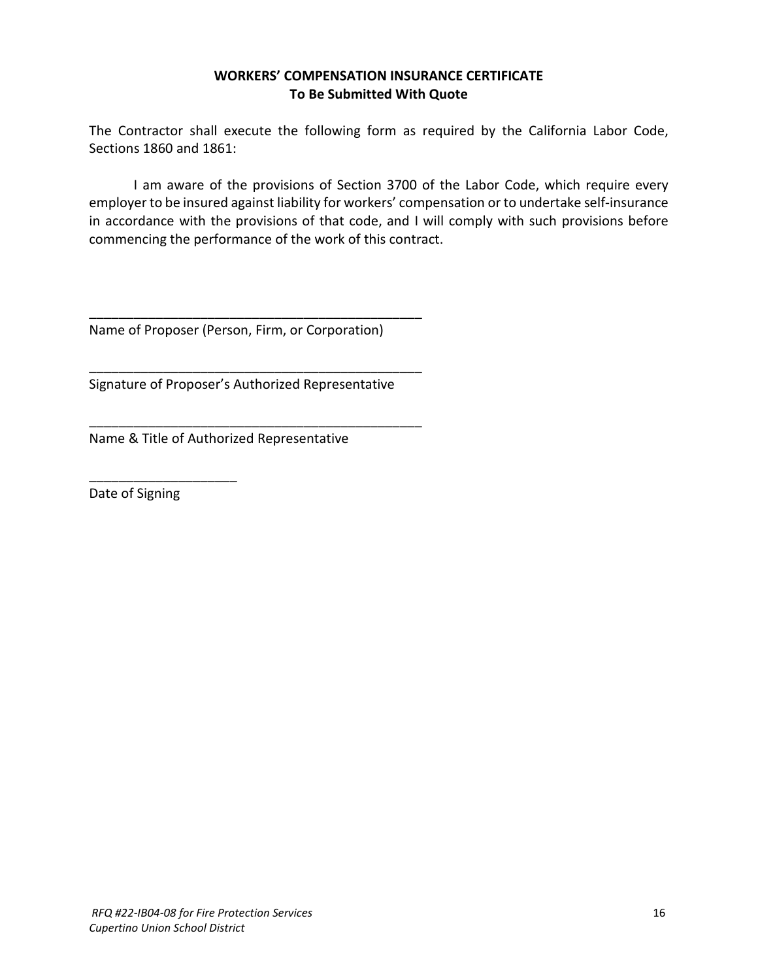# **WORKERS' COMPENSATION INSURANCE CERTIFICATE To Be Submitted With Quote**

The Contractor shall execute the following form as required by the California Labor Code, Sections 1860 and 1861:

I am aware of the provisions of Section 3700 of the Labor Code, which require every employer to be insured against liability for workers' compensation or to undertake self-insurance in accordance with the provisions of that code, and I will comply with such provisions before commencing the performance of the work of this contract.

Name of Proposer (Person, Firm, or Corporation)

\_\_\_\_\_\_\_\_\_\_\_\_\_\_\_\_\_\_\_\_\_\_\_\_\_\_\_\_\_\_\_\_\_\_\_\_\_\_\_\_\_\_\_\_\_

\_\_\_\_\_\_\_\_\_\_\_\_\_\_\_\_\_\_\_\_\_\_\_\_\_\_\_\_\_\_\_\_\_\_\_\_\_\_\_\_\_\_\_\_\_

\_\_\_\_\_\_\_\_\_\_\_\_\_\_\_\_\_\_\_\_\_\_\_\_\_\_\_\_\_\_\_\_\_\_\_\_\_\_\_\_\_\_\_\_\_

Signature of Proposer's Authorized Representative

Name & Title of Authorized Representative

Date of Signing

\_\_\_\_\_\_\_\_\_\_\_\_\_\_\_\_\_\_\_\_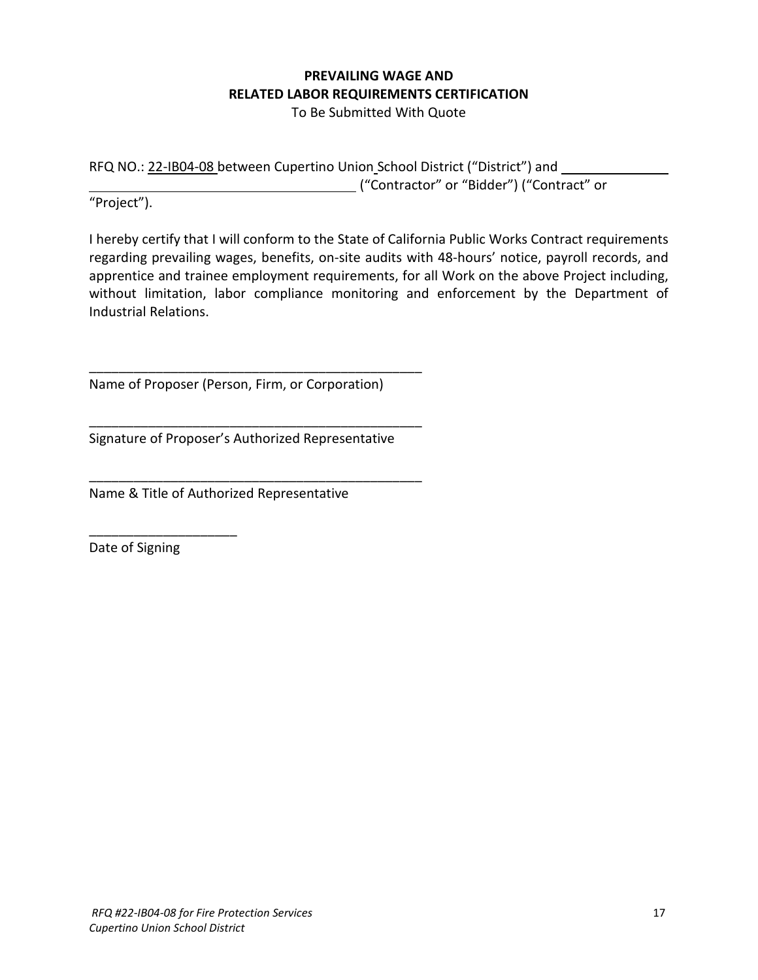# **PREVAILING WAGE AND RELATED LABOR REQUIREMENTS CERTIFICATION**

To Be Submitted With Quote

RFQ NO.: 22-IB04-08 between Cupertino Union School District ("District") and ("Contractor" or "Bidder") ("Contract" or

"Project").

I hereby certify that I will conform to the State of California Public Works Contract requirements regarding prevailing wages, benefits, on-site audits with 48-hours' notice, payroll records, and apprentice and trainee employment requirements, for all Work on the above Project including, without limitation, labor compliance monitoring and enforcement by the Department of Industrial Relations.

Name of Proposer (Person, Firm, or Corporation)

\_\_\_\_\_\_\_\_\_\_\_\_\_\_\_\_\_\_\_\_\_\_\_\_\_\_\_\_\_\_\_\_\_\_\_\_\_\_\_\_\_\_\_\_\_

\_\_\_\_\_\_\_\_\_\_\_\_\_\_\_\_\_\_\_\_\_\_\_\_\_\_\_\_\_\_\_\_\_\_\_\_\_\_\_\_\_\_\_\_\_

\_\_\_\_\_\_\_\_\_\_\_\_\_\_\_\_\_\_\_\_\_\_\_\_\_\_\_\_\_\_\_\_\_\_\_\_\_\_\_\_\_\_\_\_\_

Signature of Proposer's Authorized Representative

Name & Title of Authorized Representative

Date of Signing

\_\_\_\_\_\_\_\_\_\_\_\_\_\_\_\_\_\_\_\_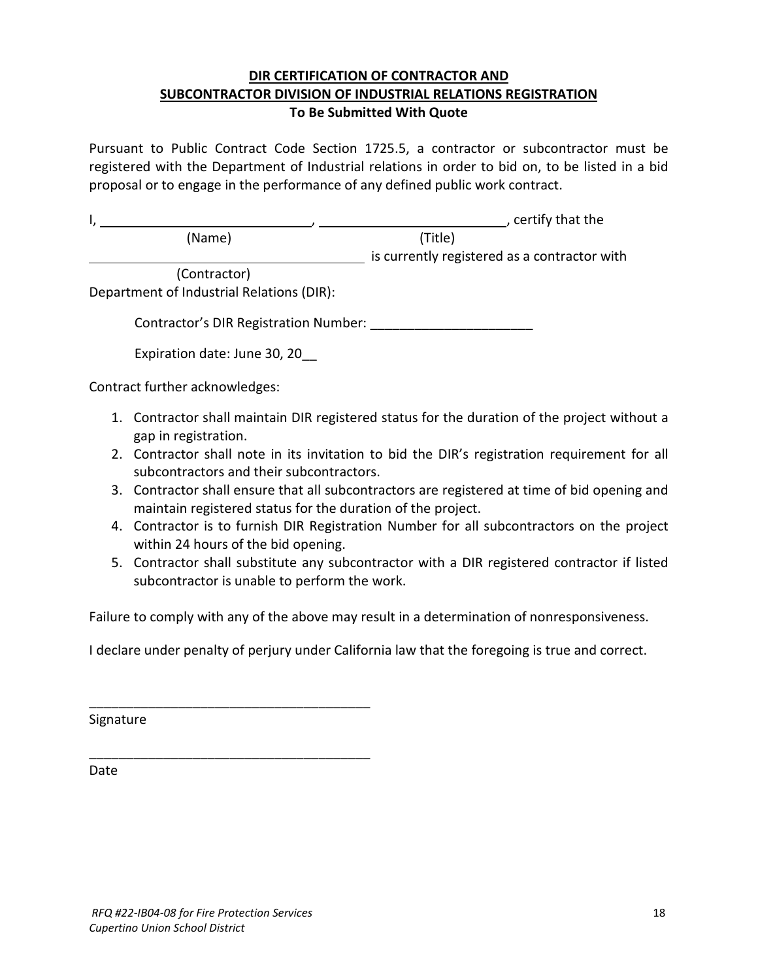# **DIR CERTIFICATION OF CONTRACTOR AND SUBCONTRACTOR DIVISION OF INDUSTRIAL RELATIONS REGISTRATION To Be Submitted With Quote**

Pursuant to Public Contract Code Section 1725.5, a contractor or subcontractor must be registered with the Department of Industrial relations in order to bid on, to be listed in a bid proposal or to engage in the performance of any defined public work contract.

|                                             | , certify that the                                                                           |
|---------------------------------------------|----------------------------------------------------------------------------------------------|
| (Name)                                      | (Title)                                                                                      |
|                                             | is currently registered as a contractor with                                                 |
| (Contractor)                                |                                                                                              |
| Department of Industrial Relations (DIR):   |                                                                                              |
| Contractor's DIR Registration Number:       |                                                                                              |
| Expiration date: June 30, 20                |                                                                                              |
| Contract further acknowledges:              |                                                                                              |
| المرتب فالقاصم والمستحدث والمراقب بالمستحدث | 1. Contractor shall maintain DIR registered status for the duration of the project without a |

- gap in registration. 2. Contractor shall note in its invitation to bid the DIR's registration requirement for all subcontractors and their subcontractors.
- 3. Contractor shall ensure that all subcontractors are registered at time of bid opening and maintain registered status for the duration of the project.
- 4. Contractor is to furnish DIR Registration Number for all subcontractors on the project within 24 hours of the bid opening.
- 5. Contractor shall substitute any subcontractor with a DIR registered contractor if listed subcontractor is unable to perform the work.

Failure to comply with any of the above may result in a determination of nonresponsiveness.

I declare under penalty of perjury under California law that the foregoing is true and correct.

Signature

Date

\_\_\_\_\_\_\_\_\_\_\_\_\_\_\_\_\_\_\_\_\_\_\_\_\_\_\_\_\_\_\_\_\_\_\_\_\_\_

\_\_\_\_\_\_\_\_\_\_\_\_\_\_\_\_\_\_\_\_\_\_\_\_\_\_\_\_\_\_\_\_\_\_\_\_\_\_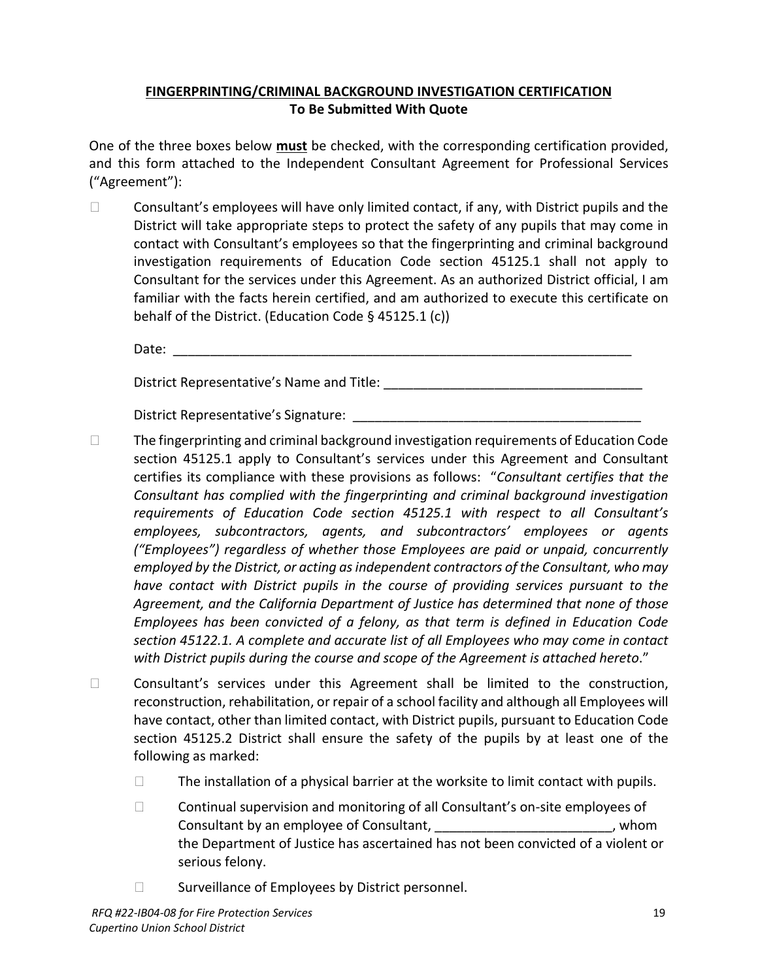# **FINGERPRINTING/CRIMINAL BACKGROUND INVESTIGATION CERTIFICATION To Be Submitted With Quote**

One of the three boxes below **must** be checked, with the corresponding certification provided, and this form attached to the Independent Consultant Agreement for Professional Services ("Agreement"):

 $\Box$  Consultant's employees will have only limited contact, if any, with District pupils and the District will take appropriate steps to protect the safety of any pupils that may come in contact with Consultant's employees so that the fingerprinting and criminal background investigation requirements of Education Code section 45125.1 shall not apply to Consultant for the services under this Agreement. As an authorized District official, I am familiar with the facts herein certified, and am authorized to execute this certificate on behalf of the District. (Education Code § 45125.1 (c))

Date: \_\_\_\_\_\_\_\_\_\_\_\_\_\_\_\_\_\_\_\_\_\_\_\_\_\_\_\_\_\_\_\_\_\_\_\_\_\_\_\_\_\_\_\_\_\_\_\_\_\_\_\_\_\_\_\_\_\_\_\_\_\_

District Representative's Name and Title: **We have all that the set of the set of the set of the set of the set o** 

District Representative's Signature:

- $\Box$ The fingerprinting and criminal background investigation requirements of Education Code section 45125.1 apply to Consultant's services under this Agreement and Consultant certifies its compliance with these provisions as follows: "*Consultant certifies that the Consultant has complied with the fingerprinting and criminal background investigation requirements of Education Code section 45125.1 with respect to all Consultant's employees, subcontractors, agents, and subcontractors' employees or agents ("Employees") regardless of whether those Employees are paid or unpaid, concurrently employed by the District, or acting as independent contractors of the Consultant, who may have contact with District pupils in the course of providing services pursuant to the Agreement, and the California Department of Justice has determined that none of those Employees has been convicted of a felony, as that term is defined in Education Code section 45122.1. A complete and accurate list of all Employees who may come in contact with District pupils during the course and scope of the Agreement is attached hereto*."
- ◻ Consultant's services under this Agreement shall be limited to the construction, reconstruction, rehabilitation, or repair of a school facility and although all Employees will have contact, other than limited contact, with District pupils, pursuant to Education Code section 45125.2 District shall ensure the safety of the pupils by at least one of the following as marked:
	- □ The installation of a physical barrier at the worksite to limit contact with pupils.
	- ◻ Continual supervision and monitoring of all Consultant's on-site employees of Consultant by an employee of Consultant, \_\_\_\_\_\_\_\_\_\_\_\_\_\_\_\_\_\_\_\_\_\_\_\_, whom the Department of Justice has ascertained has not been convicted of a violent or serious felony.
	- □ Surveillance of Employees by District personnel.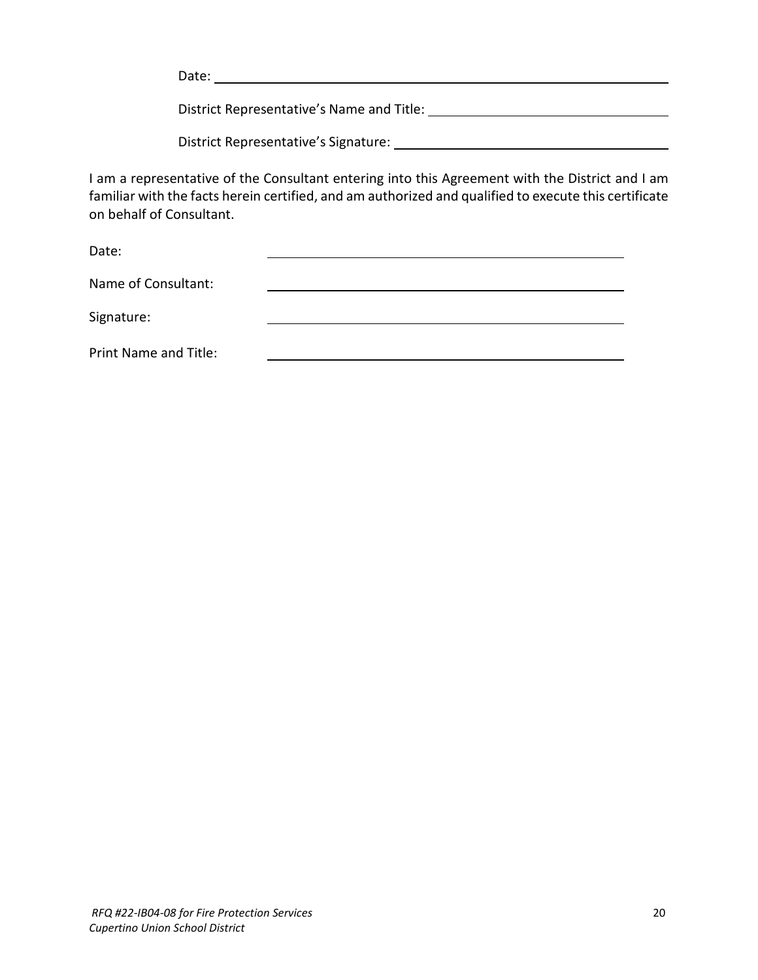Date: when the contract of the contract of the contract of the contract of the contract of the contract of the contract of the contract of the contract of the contract of the contract of the contract of the contract of the

District Representative's Name and Title:

District Representative's Signature:

I am a representative of the Consultant entering into this Agreement with the District and I am familiar with the facts herein certified, and am authorized and qualified to execute this certificate on behalf of Consultant.

Date:

| Name of Consultant:   |  |  |
|-----------------------|--|--|
| Signature:            |  |  |
| Print Name and Title: |  |  |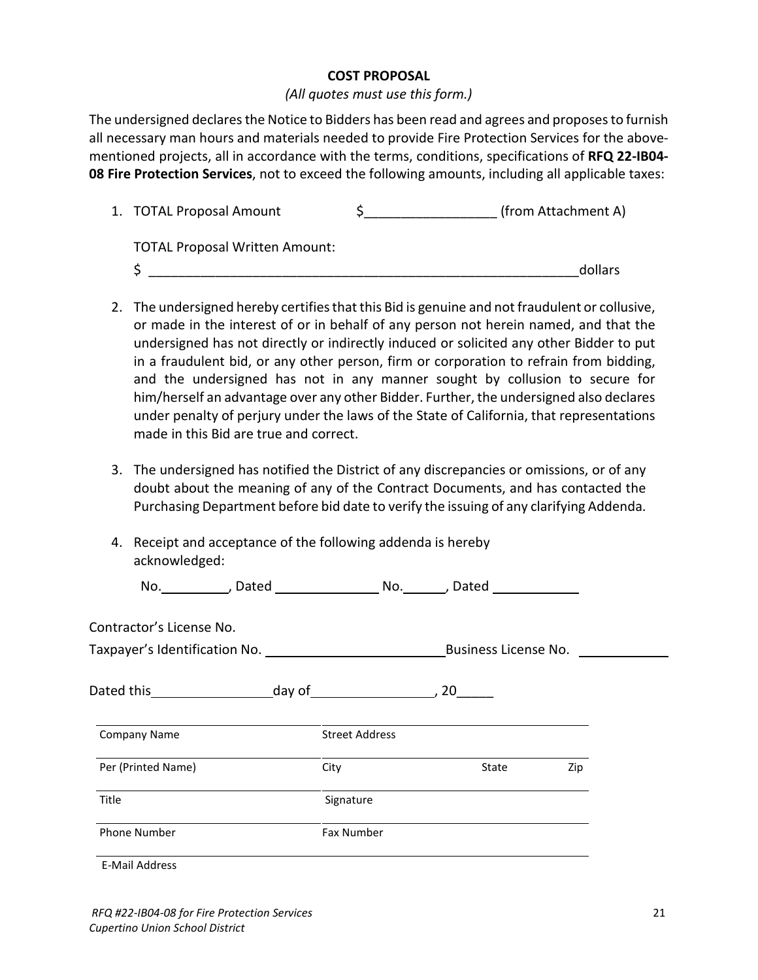#### **COST PROPOSAL**

#### *(All quotes must use this form.)*

The undersigned declares the Notice to Bidders has been read and agrees and proposes to furnish all necessary man hours and materials needed to provide Fire Protection Services for the abovementioned projects, all in accordance with the terms, conditions, specifications of **RFQ 22-IB04- 08 Fire Protection Services**, not to exceed the following amounts, including all applicable taxes:

| 1. TOTAL Proposal Amount              | (from Attachment A) |
|---------------------------------------|---------------------|
| <b>TOTAL Proposal Written Amount:</b> |                     |
|                                       | dollars             |

- 2. The undersigned hereby certifies that this Bid is genuine and not fraudulent or collusive, or made in the interest of or in behalf of any person not herein named, and that the undersigned has not directly or indirectly induced or solicited any other Bidder to put in a fraudulent bid, or any other person, firm or corporation to refrain from bidding, and the undersigned has not in any manner sought by collusion to secure for him/herself an advantage over any other Bidder. Further, the undersigned also declares under penalty of perjury under the laws of the State of California, that representations made in this Bid are true and correct.
- 3. The undersigned has notified the District of any discrepancies or omissions, or of any doubt about the meaning of any of the Contract Documents, and has contacted the Purchasing Department before bid date to verify the issuing of any clarifying Addenda.
- 4. Receipt and acceptance of the following addenda is hereby acknowledged:

|                          |      |                       | No. __________, Dated __________________________________, Dated ________________ |     |
|--------------------------|------|-----------------------|----------------------------------------------------------------------------------|-----|
| Contractor's License No. |      |                       |                                                                                  |     |
|                          |      |                       |                                                                                  |     |
|                          |      |                       |                                                                                  |     |
| <b>Company Name</b>      |      | <b>Street Address</b> |                                                                                  |     |
| Per (Printed Name)       | City |                       | State                                                                            | Zip |
| Title                    |      | Signature             |                                                                                  |     |
| <b>Phone Number</b>      |      | <b>Fax Number</b>     |                                                                                  |     |
| <b>E-Mail Address</b>    |      |                       |                                                                                  |     |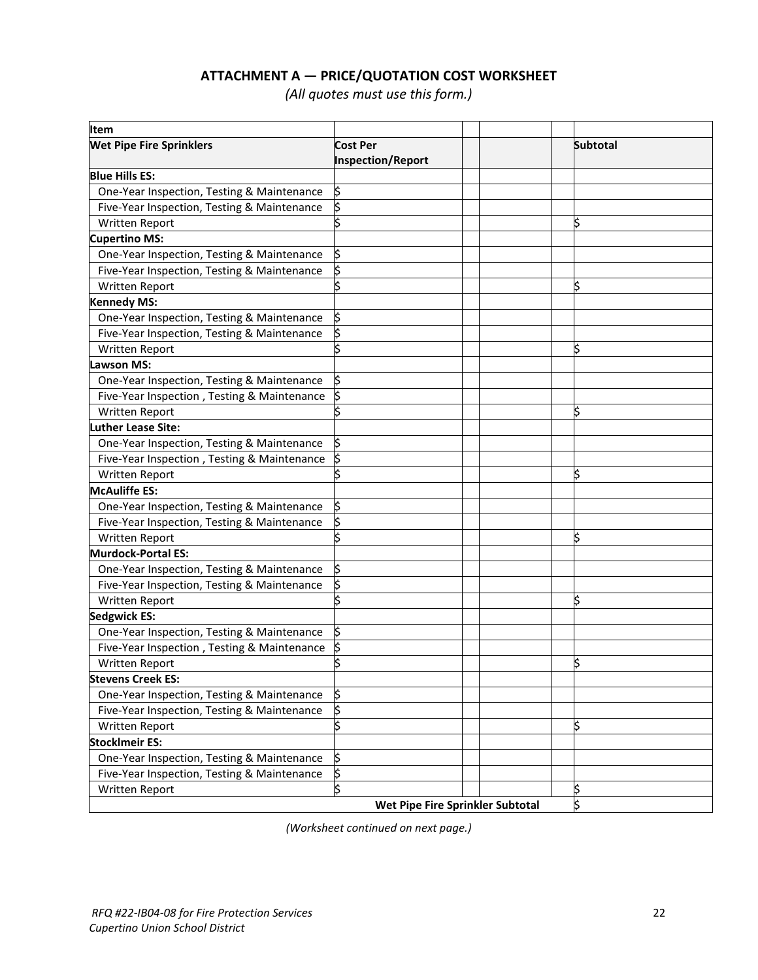# **ATTACHMENT A — PRICE/QUOTATION COST WORKSHEET**

*(All quotes must use this form.)*

| ltem                                        |                                      |                                  |                 |
|---------------------------------------------|--------------------------------------|----------------------------------|-----------------|
| <b>Wet Pipe Fire Sprinklers</b>             | Cost Per<br><b>Inspection/Report</b> |                                  | <b>Subtotal</b> |
| <b>Blue Hills ES:</b>                       |                                      |                                  |                 |
| One-Year Inspection, Testing & Maintenance  | \$                                   |                                  |                 |
| Five-Year Inspection, Testing & Maintenance |                                      |                                  |                 |
| Written Report                              |                                      |                                  |                 |
| <b>Cupertino MS:</b>                        |                                      |                                  |                 |
| One-Year Inspection, Testing & Maintenance  | \$                                   |                                  |                 |
| Five-Year Inspection, Testing & Maintenance | \$                                   |                                  |                 |
| Written Report                              |                                      |                                  | \$              |
| <b>Kennedy MS:</b>                          |                                      |                                  |                 |
| One-Year Inspection, Testing & Maintenance  | \$                                   |                                  |                 |
| Five-Year Inspection, Testing & Maintenance | \$                                   |                                  |                 |
| <b>Written Report</b>                       |                                      |                                  | \$              |
| <b>Lawson MS:</b>                           |                                      |                                  |                 |
| One-Year Inspection, Testing & Maintenance  | \$                                   |                                  |                 |
| Five-Year Inspection, Testing & Maintenance | \$                                   |                                  |                 |
| Written Report                              |                                      |                                  | \$              |
| uther Lease Site:                           |                                      |                                  |                 |
| One-Year Inspection, Testing & Maintenance  | \$                                   |                                  |                 |
| Five-Year Inspection, Testing & Maintenance |                                      |                                  |                 |
| <b>Written Report</b>                       |                                      |                                  | \$              |
| <b>McAuliffe ES:</b>                        |                                      |                                  |                 |
| One-Year Inspection, Testing & Maintenance  | \$                                   |                                  |                 |
| Five-Year Inspection, Testing & Maintenance |                                      |                                  |                 |
| Written Report                              |                                      |                                  | ļ\$             |
| <b>Murdock-Portal ES:</b>                   |                                      |                                  |                 |
| One-Year Inspection, Testing & Maintenance  | \$                                   |                                  |                 |
| Five-Year Inspection, Testing & Maintenance | \$                                   |                                  |                 |
| Written Report                              |                                      |                                  | İ\$             |
| <b>Sedgwick ES:</b>                         |                                      |                                  |                 |
| One-Year Inspection, Testing & Maintenance  | \$                                   |                                  |                 |
| Five-Year Inspection, Testing & Maintenance |                                      |                                  |                 |
| Written Report                              |                                      |                                  | \$              |
| <b>Stevens Creek ES:</b>                    |                                      |                                  |                 |
| One-Year Inspection, Testing & Maintenance  | \$                                   |                                  |                 |
| Five-Year Inspection, Testing & Maintenance | \$                                   |                                  |                 |
| Written Report                              | \$                                   |                                  | \$              |
| <b>StockImeir ES:</b>                       |                                      |                                  |                 |
| One-Year Inspection, Testing & Maintenance  | \$                                   |                                  |                 |
| Five-Year Inspection, Testing & Maintenance | \$                                   |                                  |                 |
| <b>Written Report</b>                       | \$                                   |                                  | \$              |
|                                             |                                      | Wet Pipe Fire Sprinkler Subtotal | \$              |

*(Worksheet continued on next page.)*